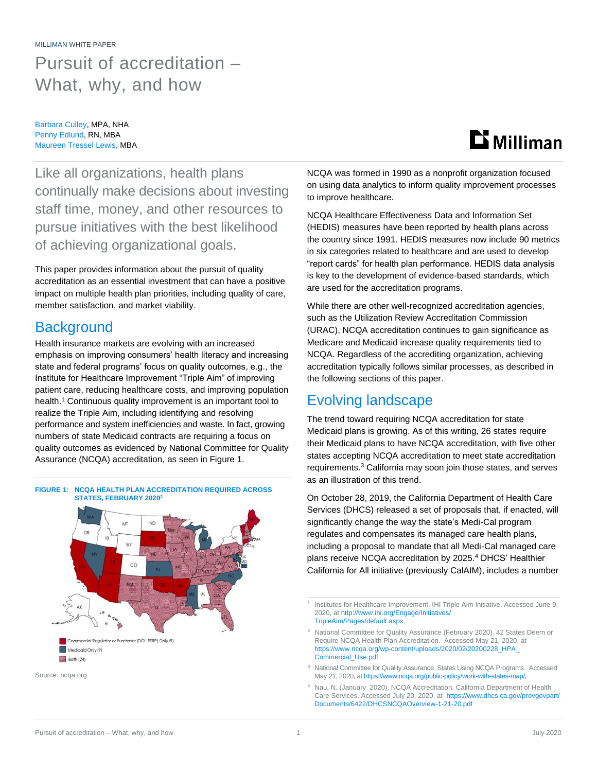# MILLIMAN WHITE PAPER Pursuit of accreditation – What, why, and how

Barbara Culley, MPA, NHA Penny Edlund, RN, MBA Maureen Tressel Lewis, MBA

# **Li** Milliman

Like all organizations, health plans continually make decisions about investing staff time, money, and other resources to pursue initiatives with the best likelihood of achieving organizational goals.

This paper provides information about the pursuit of quality accreditation as an essential investment that can have a positive impact on multiple health plan priorities, including quality of care, member satisfaction, and market viability.

## **Background**

Health insurance markets are evolving with an increased emphasis on improving consumers' health literacy and increasing state and federal programs' focus on quality outcomes, e.g., the Institute for Healthcare Improvement "Triple Aim" of improving patient care, reducing healthcare costs, and improving population health. <sup>1</sup> Continuous quality improvement is an important tool to realize the Triple Aim, including identifying and resolving performance and system inefficiencies and waste. In fact, growing numbers of state Medicaid contracts are requiring a focus on quality outcomes as evidenced by National Committee for Quality Assurance (NCQA) accreditation, as seen in Figure 1.







NCQA was formed in 1990 as a nonprofit organization focused on using data analytics to inform quality improvement processes to improve healthcare.

NCQA Healthcare Effectiveness Data and Information Set (HEDIS) measures have been reported by health plans across the country since 1991. HEDIS measures now include 90 metrics in six categories related to healthcare and are used to develop "report cards" for health plan performance. HEDIS data analysis is key to the development of evidence-based standards, which are used for the accreditation programs.

While there are other well-recognized accreditation agencies, such as the Utilization Review Accreditation Commission (URAC), NCQA accreditation continues to gain significance as Medicare and Medicaid increase quality requirements tied to NCQA. Regardless of the accrediting organization, achieving accreditation typically follows similar processes, as described in the following sections of this paper.

### Evolving landscape

The trend toward requiring NCQA accreditation for state Medicaid plans is growing. As of this writing, 26 states require their Medicaid plans to have NCQA accreditation, with five other states accepting NCQA accreditation to meet state accreditation requirements. <sup>3</sup> California may soon join those states, and serves as an illustration of this trend.

On October 28, 2019, the California Department of Health Care Services (DHCS) released a set of proposals that, if enacted, will significantly change the way the state's Medi-Cal program regulates and compensates its managed care health plans, including a proposal to mandate that all Medi-Cal managed care plans receive NCQA accreditation by 2025.<sup>4</sup> DHCS' Healthier California for All initiative (previously CalAIM), includes a number

1 Institutes for Healthcare Improvement. IHI Triple Aim Initiative. Accessed June 9, 2020, at [http://www.ihi.org/Engage/Initiatives/](http://www.ihi.org/Engage/Initiatives/TripleAim/Pages/default.aspx) [TripleAim/Pages/default.aspx,](http://www.ihi.org/Engage/Initiatives/TripleAim/Pages/default.aspx)

<sup>2</sup> National Committee for Quality Assurance (February 2020). 42 States Deem or Require NCQA Health Plan Accreditation. Accessed May 21, 2020, at [https://www.ncqa.org/wp-content/uploads/2020/02/20200228\\_HPA\\_](https://www.ncqa.org/wp-content/uploads/2020/02/20200228_HPA_%0bCommercial_Use.pdf) [Commercial\\_Use.pdf](https://www.ncqa.org/wp-content/uploads/2020/02/20200228_HPA_%0bCommercial_Use.pdf)

<sup>3</sup> National Committee for Quality Assurance. States Using NCQA Programs. Accessed May 21, 2020, at [https://www.ncqa.org/public-policy/work-with-states-map/,](https://www.ncqa.org/public-policy/work-with-states-map/)

Nau, N. (January 2020). NCQA Accreditation. California Department of Health Care Services. Accessed July 20, 2020, at [https://www.dhcs.ca.gov/provgovpart/](https://www.dhcs.ca.gov/provgovpart/Documents/6422/DHCSNCQAOverview-1-21-20.pdf) [Documents/6422/DHCSNCQAOverview-1-21-20.pdf](https://www.dhcs.ca.gov/provgovpart/Documents/6422/DHCSNCQAOverview-1-21-20.pdf)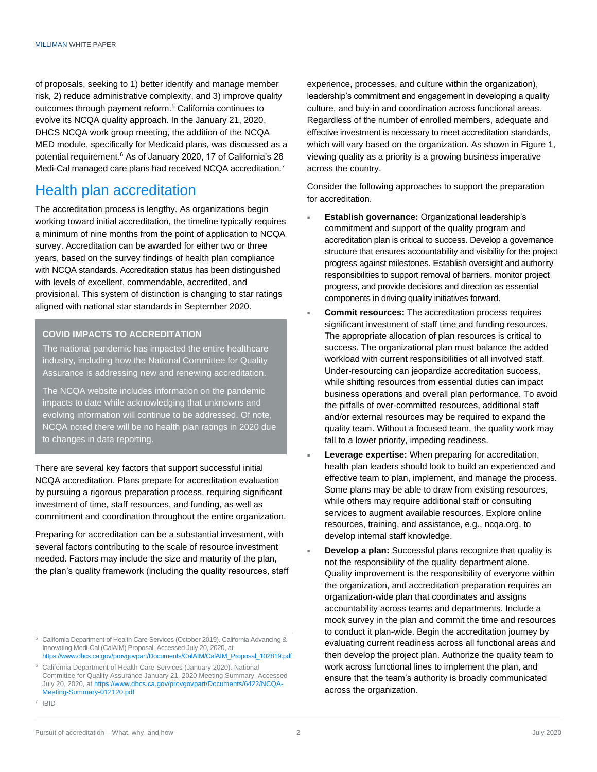of proposals, seeking to 1) better identify and manage member risk, 2) reduce administrative complexity, and 3) improve quality outcomes through payment reform.<sup>5</sup> California continues to evolve its NCQA quality approach. In the January 21, 2020, DHCS NCQA work group meeting, the addition of the NCQA MED module, specifically for Medicaid plans, was discussed as a potential requirement.<sup>6</sup> As of January 2020, 17 of California's 26 Medi-Cal managed care plans had received NCQA accreditation.<sup>7</sup>

### Health plan accreditation

The accreditation process is lengthy. As organizations begin working toward initial accreditation, the timeline typically requires a minimum of nine months from the point of application to NCQA survey. Accreditation can be awarded for either two or three years, based on the survey findings of health plan compliance with NCQA standards. Accreditation status has been distinguished with levels of excellent, commendable, accredited, and provisional. This system of distinction is changing to star ratings aligned with national star standards in September 2020.

#### **COVID IMPACTS TO ACCREDITATION**

The national pandemic has impacted the entire healthcare industry, including how the National Committee for Quality Assurance is addressing new and renewing accreditation.

The NCQA website includes information on the pandemic impacts to date while acknowledging that unknowns and evolving information will continue to be addressed. Of note, NCQA noted there will be no health plan ratings in 2020 due to changes in data reporting.

There are several key factors that support successful initial NCQA accreditation. Plans prepare for accreditation evaluation by pursuing a rigorous preparation process, requiring significant investment of time, staff resources, and funding, as well as commitment and coordination throughout the entire organization.

Preparing for accreditation can be a substantial investment, with several factors contributing to the scale of resource investment needed. Factors may include the size and maturity of the plan, the plan's quality framework (including the quality resources, staff experience, processes, and culture within the organization), leadership's commitment and engagement in developing a quality culture, and buy-in and coordination across functional areas. Regardless of the number of enrolled members, adequate and effective investment is necessary to meet accreditation standards, which will vary based on the organization. As shown in Figure 1, viewing quality as a priority is a growing business imperative across the country.

Consider the following approaches to support the preparation for accreditation.

- **Establish governance:** Organizational leadership's commitment and support of the quality program and accreditation plan is critical to success. Develop a governance structure that ensures accountability and visibility for the project progress against milestones. Establish oversight and authority responsibilities to support removal of barriers, monitor project progress, and provide decisions and direction as essential components in driving quality initiatives forward.
- **Commit resources:** The accreditation process requires significant investment of staff time and funding resources. The appropriate allocation of plan resources is critical to success. The organizational plan must balance the added workload with current responsibilities of all involved staff. Under-resourcing can jeopardize accreditation success, while shifting resources from essential duties can impact business operations and overall plan performance. To avoid the pitfalls of over-committed resources, additional staff and/or external resources may be required to expand the quality team. Without a focused team, the quality work may fall to a lower priority, impeding readiness.
- **Leverage expertise:** When preparing for accreditation, health plan leaders should look to build an experienced and effective team to plan, implement, and manage the process. Some plans may be able to draw from existing resources, while others may require additional staff or consulting services to augment available resources. Explore online resources, training, and assistance, e.g., ncqa.org, to develop internal staff knowledge.
- **Develop a plan:** Successful plans recognize that quality is not the responsibility of the quality department alone. Quality improvement is the responsibility of everyone within the organization, and accreditation preparation requires an organization-wide plan that coordinates and assigns accountability across teams and departments. Include a mock survey in the plan and commit the time and resources to conduct it plan-wide. Begin the accreditation journey by evaluating current readiness across all functional areas and then develop the project plan. Authorize the quality team to work across functional lines to implement the plan, and ensure that the team's authority is broadly communicated across the organization.

<sup>5</sup> California Department of Health Care Services (October 2019). California Advancing & Innovating Medi-Cal (CalAIM) Proposal. Accessed July 20, 2020, at [https://www.dhcs.ca.gov/provgovpart/Documents/CalAIM/CalAIM\\_Proposal\\_102819.pdf](https://www.dhcs.ca.gov/provgovpart/Documents/CalAIM/CalAIM_Proposal_102819.pdf)

<sup>6</sup> California Department of Health Care Services (January 2020). National Committee for Quality Assurance January 21, 2020 Meeting Summary. Accessed July 20, 2020, a[t https://www.dhcs.ca.gov/provgovpart/Documents/6422/NCQA-](https://www.dhcs.ca.gov/provgovpart/Documents/6422/NCQA-Meeting-Summary-012120.pdf)[Meeting-Summary-012120.pdf](https://www.dhcs.ca.gov/provgovpart/Documents/6422/NCQA-Meeting-Summary-012120.pdf)

<sup>7</sup> IBID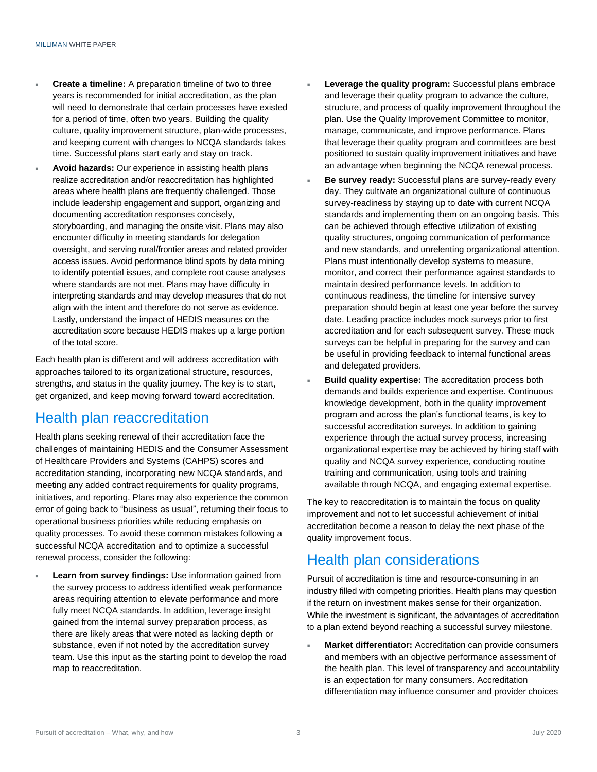- **Create a timeline:** A preparation timeline of two to three years is recommended for initial accreditation, as the plan will need to demonstrate that certain processes have existed for a period of time, often two years. Building the quality culture, quality improvement structure, plan-wide processes, and keeping current with changes to NCQA standards takes time. Successful plans start early and stay on track.
- **Avoid hazards:** Our experience in assisting health plans realize accreditation and/or reaccreditation has highlighted areas where health plans are frequently challenged. Those include leadership engagement and support, organizing and documenting accreditation responses concisely, storyboarding, and managing the onsite visit. Plans may also encounter difficulty in meeting standards for delegation oversight, and serving rural/frontier areas and related provider access issues. Avoid performance blind spots by data mining to identify potential issues, and complete root cause analyses where standards are not met. Plans may have difficulty in interpreting standards and may develop measures that do not align with the intent and therefore do not serve as evidence. Lastly, understand the impact of HEDIS measures on the accreditation score because HEDIS makes up a large portion of the total score.

Each health plan is different and will address accreditation with approaches tailored to its organizational structure, resources, strengths, and status in the quality journey. The key is to start, get organized, and keep moving forward toward accreditation.

### Health plan reaccreditation

Health plans seeking renewal of their accreditation face the challenges of maintaining HEDIS and the Consumer Assessment of Healthcare Providers and Systems (CAHPS) scores and accreditation standing, incorporating new NCQA standards, and meeting any added contract requirements for quality programs, initiatives, and reporting. Plans may also experience the common error of going back to "business as usual", returning their focus to operational business priorities while reducing emphasis on quality processes. To avoid these common mistakes following a successful NCQA accreditation and to optimize a successful renewal process, consider the following:

 **Learn from survey findings:** Use information gained from the survey process to address identified weak performance areas requiring attention to elevate performance and more fully meet NCQA standards. In addition, leverage insight gained from the internal survey preparation process, as there are likely areas that were noted as lacking depth or substance, even if not noted by the accreditation survey team. Use this input as the starting point to develop the road map to reaccreditation.

- **Leverage the quality program:** Successful plans embrace and leverage their quality program to advance the culture, structure, and process of quality improvement throughout the plan. Use the Quality Improvement Committee to monitor, manage, communicate, and improve performance. Plans that leverage their quality program and committees are best positioned to sustain quality improvement initiatives and have an advantage when beginning the NCQA renewal process.
- **Be survey ready:** Successful plans are survey-ready every day. They cultivate an organizational culture of continuous survey-readiness by staying up to date with current NCQA standards and implementing them on an ongoing basis. This can be achieved through effective utilization of existing quality structures, ongoing communication of performance and new standards, and unrelenting organizational attention. Plans must intentionally develop systems to measure, monitor, and correct their performance against standards to maintain desired performance levels. In addition to continuous readiness, the timeline for intensive survey preparation should begin at least one year before the survey date. Leading practice includes mock surveys prior to first accreditation and for each subsequent survey. These mock surveys can be helpful in preparing for the survey and can be useful in providing feedback to internal functional areas and delegated providers.
- **Build quality expertise:** The accreditation process both demands and builds experience and expertise. Continuous knowledge development, both in the quality improvement program and across the plan's functional teams, is key to successful accreditation surveys. In addition to gaining experience through the actual survey process, increasing organizational expertise may be achieved by hiring staff with quality and NCQA survey experience, conducting routine training and communication, using tools and training available through NCQA, and engaging external expertise.

The key to reaccreditation is to maintain the focus on quality improvement and not to let successful achievement of initial accreditation become a reason to delay the next phase of the quality improvement focus.

### Health plan considerations

Pursuit of accreditation is time and resource-consuming in an industry filled with competing priorities. Health plans may question if the return on investment makes sense for their organization. While the investment is significant, the advantages of accreditation to a plan extend beyond reaching a successful survey milestone.

 **Market differentiator:** Accreditation can provide consumers and members with an objective performance assessment of the health plan. This level of transparency and accountability is an expectation for many consumers. Accreditation differentiation may influence consumer and provider choices